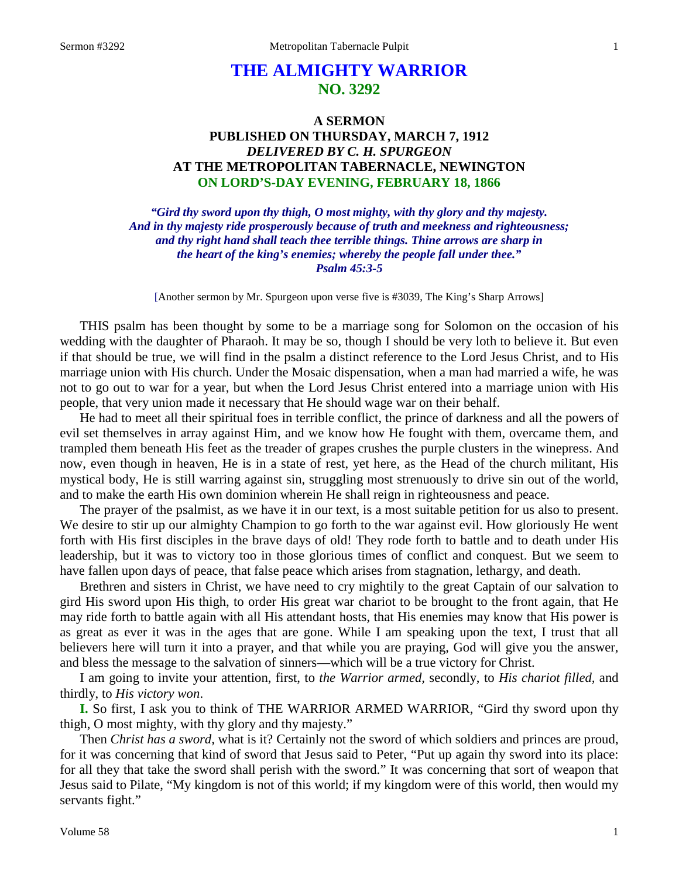# **THE ALMIGHTY WARRIOR NO. 3292**

# **A SERMON PUBLISHED ON THURSDAY, MARCH 7, 1912** *DELIVERED BY C. H. SPURGEON* **AT THE METROPOLITAN TABERNACLE, NEWINGTON ON LORD'S-DAY EVENING, FEBRUARY 18, 1866**

*"Gird thy sword upon thy thigh, O most mighty, with thy glory and thy majesty. And in thy majesty ride prosperously because of truth and meekness and righteousness; and thy right hand shall teach thee terrible things. Thine arrows are sharp in the heart of the king's enemies; whereby the people fall under thee." Psalm 45:3-5*

[Another sermon by Mr. Spurgeon upon verse five is #3039, The King's Sharp Arrows]

THIS psalm has been thought by some to be a marriage song for Solomon on the occasion of his wedding with the daughter of Pharaoh. It may be so, though I should be very loth to believe it. But even if that should be true, we will find in the psalm a distinct reference to the Lord Jesus Christ, and to His marriage union with His church. Under the Mosaic dispensation, when a man had married a wife, he was not to go out to war for a year, but when the Lord Jesus Christ entered into a marriage union with His people, that very union made it necessary that He should wage war on their behalf.

He had to meet all their spiritual foes in terrible conflict, the prince of darkness and all the powers of evil set themselves in array against Him, and we know how He fought with them, overcame them, and trampled them beneath His feet as the treader of grapes crushes the purple clusters in the winepress. And now, even though in heaven, He is in a state of rest, yet here, as the Head of the church militant, His mystical body, He is still warring against sin, struggling most strenuously to drive sin out of the world, and to make the earth His own dominion wherein He shall reign in righteousness and peace.

The prayer of the psalmist, as we have it in our text, is a most suitable petition for us also to present. We desire to stir up our almighty Champion to go forth to the war against evil. How gloriously He went forth with His first disciples in the brave days of old! They rode forth to battle and to death under His leadership, but it was to victory too in those glorious times of conflict and conquest. But we seem to have fallen upon days of peace, that false peace which arises from stagnation, lethargy, and death.

Brethren and sisters in Christ, we have need to cry mightily to the great Captain of our salvation to gird His sword upon His thigh, to order His great war chariot to be brought to the front again, that He may ride forth to battle again with all His attendant hosts, that His enemies may know that His power is as great as ever it was in the ages that are gone. While I am speaking upon the text, I trust that all believers here will turn it into a prayer, and that while you are praying, God will give you the answer, and bless the message to the salvation of sinners—which will be a true victory for Christ.

I am going to invite your attention, first, to *the Warrior armed,* secondly, to *His chariot filled,* and thirdly, to *His victory won*.

**I.** So first, I ask you to think of THE WARRIOR ARMED WARRIOR, "Gird thy sword upon thy thigh, O most mighty, with thy glory and thy majesty."

Then *Christ has a sword,* what is it? Certainly not the sword of which soldiers and princes are proud, for it was concerning that kind of sword that Jesus said to Peter, "Put up again thy sword into its place: for all they that take the sword shall perish with the sword." It was concerning that sort of weapon that Jesus said to Pilate, "My kingdom is not of this world; if my kingdom were of this world, then would my servants fight."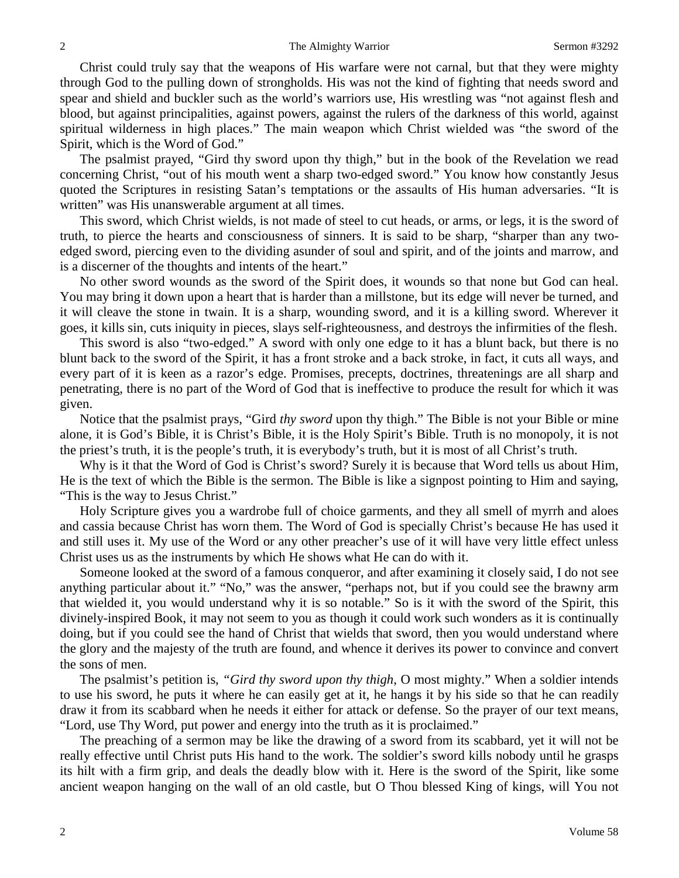Christ could truly say that the weapons of His warfare were not carnal, but that they were mighty through God to the pulling down of strongholds. His was not the kind of fighting that needs sword and spear and shield and buckler such as the world's warriors use, His wrestling was "not against flesh and blood, but against principalities, against powers, against the rulers of the darkness of this world, against spiritual wilderness in high places." The main weapon which Christ wielded was "the sword of the Spirit, which is the Word of God."

The psalmist prayed, "Gird thy sword upon thy thigh," but in the book of the Revelation we read concerning Christ, "out of his mouth went a sharp two-edged sword." You know how constantly Jesus quoted the Scriptures in resisting Satan's temptations or the assaults of His human adversaries. "It is written" was His unanswerable argument at all times.

This sword, which Christ wields, is not made of steel to cut heads, or arms, or legs, it is the sword of truth, to pierce the hearts and consciousness of sinners. It is said to be sharp, "sharper than any twoedged sword, piercing even to the dividing asunder of soul and spirit, and of the joints and marrow, and is a discerner of the thoughts and intents of the heart."

No other sword wounds as the sword of the Spirit does, it wounds so that none but God can heal. You may bring it down upon a heart that is harder than a millstone, but its edge will never be turned, and it will cleave the stone in twain. It is a sharp, wounding sword, and it is a killing sword. Wherever it goes, it kills sin, cuts iniquity in pieces, slays self-righteousness, and destroys the infirmities of the flesh.

This sword is also "two-edged." A sword with only one edge to it has a blunt back, but there is no blunt back to the sword of the Spirit, it has a front stroke and a back stroke, in fact, it cuts all ways, and every part of it is keen as a razor's edge. Promises, precepts, doctrines, threatenings are all sharp and penetrating, there is no part of the Word of God that is ineffective to produce the result for which it was given.

Notice that the psalmist prays, "Gird *thy sword* upon thy thigh." The Bible is not your Bible or mine alone, it is God's Bible, it is Christ's Bible, it is the Holy Spirit's Bible. Truth is no monopoly, it is not the priest's truth, it is the people's truth, it is everybody's truth, but it is most of all Christ's truth.

Why is it that the Word of God is Christ's sword? Surely it is because that Word tells us about Him, He is the text of which the Bible is the sermon. The Bible is like a signpost pointing to Him and saying, "This is the way to Jesus Christ."

Holy Scripture gives you a wardrobe full of choice garments, and they all smell of myrrh and aloes and cassia because Christ has worn them. The Word of God is specially Christ's because He has used it and still uses it. My use of the Word or any other preacher's use of it will have very little effect unless Christ uses us as the instruments by which He shows what He can do with it.

Someone looked at the sword of a famous conqueror, and after examining it closely said, I do not see anything particular about it." "No," was the answer, "perhaps not, but if you could see the brawny arm that wielded it, you would understand why it is so notable." So is it with the sword of the Spirit, this divinely-inspired Book, it may not seem to you as though it could work such wonders as it is continually doing, but if you could see the hand of Christ that wields that sword, then you would understand where the glory and the majesty of the truth are found, and whence it derives its power to convince and convert the sons of men.

The psalmist's petition is, *"Gird thy sword upon thy thigh*, O most mighty." When a soldier intends to use his sword, he puts it where he can easily get at it, he hangs it by his side so that he can readily draw it from its scabbard when he needs it either for attack or defense. So the prayer of our text means, "Lord, use Thy Word, put power and energy into the truth as it is proclaimed."

The preaching of a sermon may be like the drawing of a sword from its scabbard, yet it will not be really effective until Christ puts His hand to the work. The soldier's sword kills nobody until he grasps its hilt with a firm grip, and deals the deadly blow with it. Here is the sword of the Spirit, like some ancient weapon hanging on the wall of an old castle, but O Thou blessed King of kings, will You not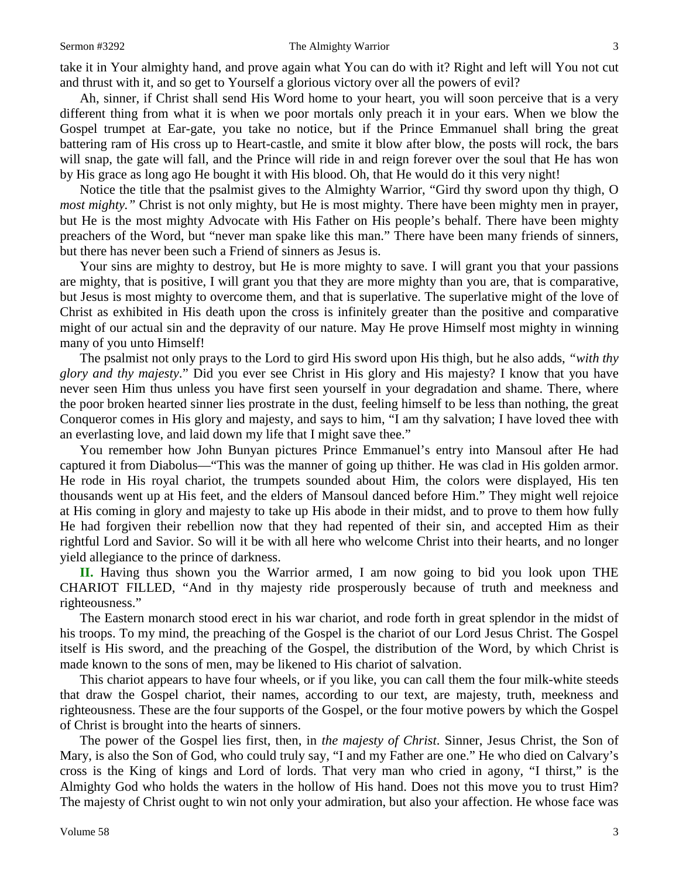#### Sermon #3292 The Almighty Warrior 3

take it in Your almighty hand, and prove again what You can do with it? Right and left will You not cut and thrust with it, and so get to Yourself a glorious victory over all the powers of evil?

Ah, sinner, if Christ shall send His Word home to your heart, you will soon perceive that is a very different thing from what it is when we poor mortals only preach it in your ears. When we blow the Gospel trumpet at Ear-gate, you take no notice, but if the Prince Emmanuel shall bring the great battering ram of His cross up to Heart-castle, and smite it blow after blow, the posts will rock, the bars will snap, the gate will fall, and the Prince will ride in and reign forever over the soul that He has won by His grace as long ago He bought it with His blood. Oh, that He would do it this very night!

Notice the title that the psalmist gives to the Almighty Warrior, "Gird thy sword upon thy thigh, O *most mighty.*" Christ is not only mighty, but He is most mighty. There have been mighty men in prayer, but He is the most mighty Advocate with His Father on His people's behalf. There have been mighty preachers of the Word, but "never man spake like this man." There have been many friends of sinners, but there has never been such a Friend of sinners as Jesus is.

Your sins are mighty to destroy, but He is more mighty to save. I will grant you that your passions are mighty, that is positive, I will grant you that they are more mighty than you are, that is comparative, but Jesus is most mighty to overcome them, and that is superlative. The superlative might of the love of Christ as exhibited in His death upon the cross is infinitely greater than the positive and comparative might of our actual sin and the depravity of our nature. May He prove Himself most mighty in winning many of you unto Himself!

The psalmist not only prays to the Lord to gird His sword upon His thigh, but he also adds, *"with thy glory and thy majesty*." Did you ever see Christ in His glory and His majesty? I know that you have never seen Him thus unless you have first seen yourself in your degradation and shame. There, where the poor broken hearted sinner lies prostrate in the dust, feeling himself to be less than nothing, the great Conqueror comes in His glory and majesty, and says to him, "I am thy salvation; I have loved thee with an everlasting love, and laid down my life that I might save thee."

You remember how John Bunyan pictures Prince Emmanuel's entry into Mansoul after He had captured it from Diabolus—"This was the manner of going up thither. He was clad in His golden armor. He rode in His royal chariot, the trumpets sounded about Him, the colors were displayed, His ten thousands went up at His feet, and the elders of Mansoul danced before Him." They might well rejoice at His coming in glory and majesty to take up His abode in their midst, and to prove to them how fully He had forgiven their rebellion now that they had repented of their sin, and accepted Him as their rightful Lord and Savior. So will it be with all here who welcome Christ into their hearts, and no longer yield allegiance to the prince of darkness.

**II.** Having thus shown you the Warrior armed, I am now going to bid you look upon THE CHARIOT FILLED, "And in thy majesty ride prosperously because of truth and meekness and righteousness."

The Eastern monarch stood erect in his war chariot, and rode forth in great splendor in the midst of his troops. To my mind, the preaching of the Gospel is the chariot of our Lord Jesus Christ. The Gospel itself is His sword, and the preaching of the Gospel, the distribution of the Word, by which Christ is made known to the sons of men, may be likened to His chariot of salvation.

This chariot appears to have four wheels, or if you like, you can call them the four milk-white steeds that draw the Gospel chariot, their names, according to our text, are majesty, truth, meekness and righteousness. These are the four supports of the Gospel, or the four motive powers by which the Gospel of Christ is brought into the hearts of sinners.

The power of the Gospel lies first, then, in *the majesty of Christ*. Sinner, Jesus Christ, the Son of Mary, is also the Son of God, who could truly say, "I and my Father are one." He who died on Calvary's cross is the King of kings and Lord of lords. That very man who cried in agony, "I thirst," is the Almighty God who holds the waters in the hollow of His hand. Does not this move you to trust Him? The majesty of Christ ought to win not only your admiration, but also your affection. He whose face was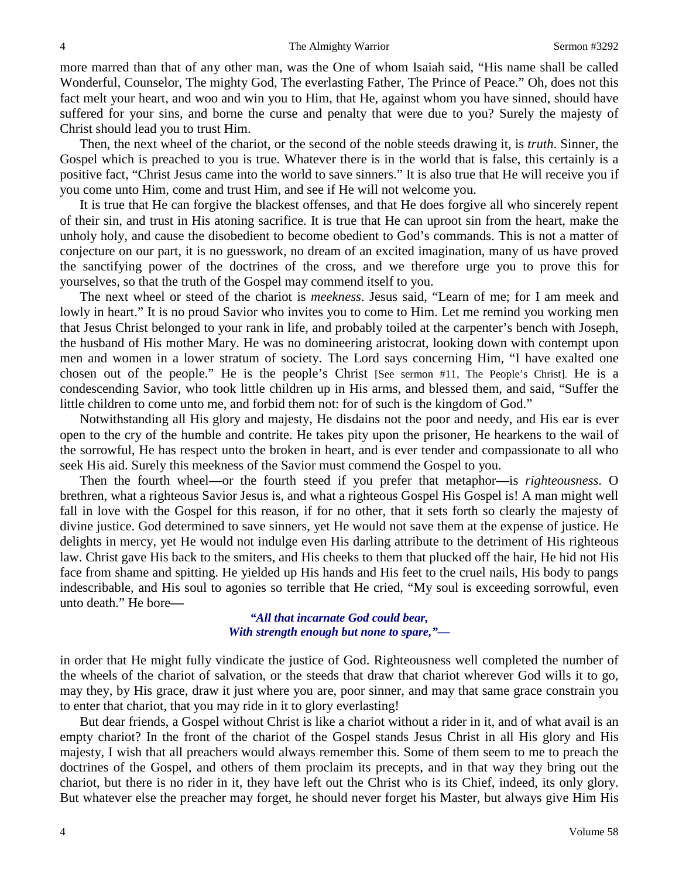more marred than that of any other man, was the One of whom Isaiah said, "His name shall be called Wonderful, Counselor, The mighty God, The everlasting Father, The Prince of Peace." Oh, does not this fact melt your heart, and woo and win you to Him, that He, against whom you have sinned, should have suffered for your sins, and borne the curse and penalty that were due to you? Surely the majesty of Christ should lead you to trust Him.

Then, the next wheel of the chariot, or the second of the noble steeds drawing it, is *truth*. Sinner, the Gospel which is preached to you is true. Whatever there is in the world that is false, this certainly is a positive fact, "Christ Jesus came into the world to save sinners." It is also true that He will receive you if you come unto Him, come and trust Him, and see if He will not welcome you.

It is true that He can forgive the blackest offenses, and that He does forgive all who sincerely repent of their sin, and trust in His atoning sacrifice. It is true that He can uproot sin from the heart, make the unholy holy, and cause the disobedient to become obedient to God's commands. This is not a matter of conjecture on our part, it is no guesswork, no dream of an excited imagination, many of us have proved the sanctifying power of the doctrines of the cross, and we therefore urge you to prove this for yourselves, so that the truth of the Gospel may commend itself to you.

The next wheel or steed of the chariot is *meekness*. Jesus said, "Learn of me; for I am meek and lowly in heart." It is no proud Savior who invites you to come to Him. Let me remind you working men that Jesus Christ belonged to your rank in life, and probably toiled at the carpenter's bench with Joseph, the husband of His mother Mary. He was no domineering aristocrat, looking down with contempt upon men and women in a lower stratum of society. The Lord says concerning Him, "I have exalted one chosen out of the people." He is the people's Christ [See sermon #11, The People's Christ]. He is a condescending Savior, who took little children up in His arms, and blessed them, and said, "Suffer the little children to come unto me, and forbid them not: for of such is the kingdom of God."

Notwithstanding all His glory and majesty, He disdains not the poor and needy, and His ear is ever open to the cry of the humble and contrite. He takes pity upon the prisoner, He hearkens to the wail of the sorrowful, He has respect unto the broken in heart, and is ever tender and compassionate to all who seek His aid. Surely this meekness of the Savior must commend the Gospel to you.

Then the fourth wheel**—**or the fourth steed if you prefer that metaphor**—**is *righteousness*. O brethren, what a righteous Savior Jesus is, and what a righteous Gospel His Gospel is! A man might well fall in love with the Gospel for this reason, if for no other, that it sets forth so clearly the majesty of divine justice. God determined to save sinners, yet He would not save them at the expense of justice. He delights in mercy, yet He would not indulge even His darling attribute to the detriment of His righteous law. Christ gave His back to the smiters, and His cheeks to them that plucked off the hair, He hid not His face from shame and spitting. He yielded up His hands and His feet to the cruel nails, His body to pangs indescribable, and His soul to agonies so terrible that He cried, "My soul is exceeding sorrowful, even unto death." He bore**—**

# *"All that incarnate God could bear, With strength enough but none to spare,"—*

in order that He might fully vindicate the justice of God. Righteousness well completed the number of the wheels of the chariot of salvation, or the steeds that draw that chariot wherever God wills it to go, may they, by His grace, draw it just where you are, poor sinner, and may that same grace constrain you to enter that chariot, that you may ride in it to glory everlasting!

But dear friends, a Gospel without Christ is like a chariot without a rider in it, and of what avail is an empty chariot? In the front of the chariot of the Gospel stands Jesus Christ in all His glory and His majesty, I wish that all preachers would always remember this. Some of them seem to me to preach the doctrines of the Gospel, and others of them proclaim its precepts, and in that way they bring out the chariot, but there is no rider in it, they have left out the Christ who is its Chief, indeed, its only glory. But whatever else the preacher may forget, he should never forget his Master, but always give Him His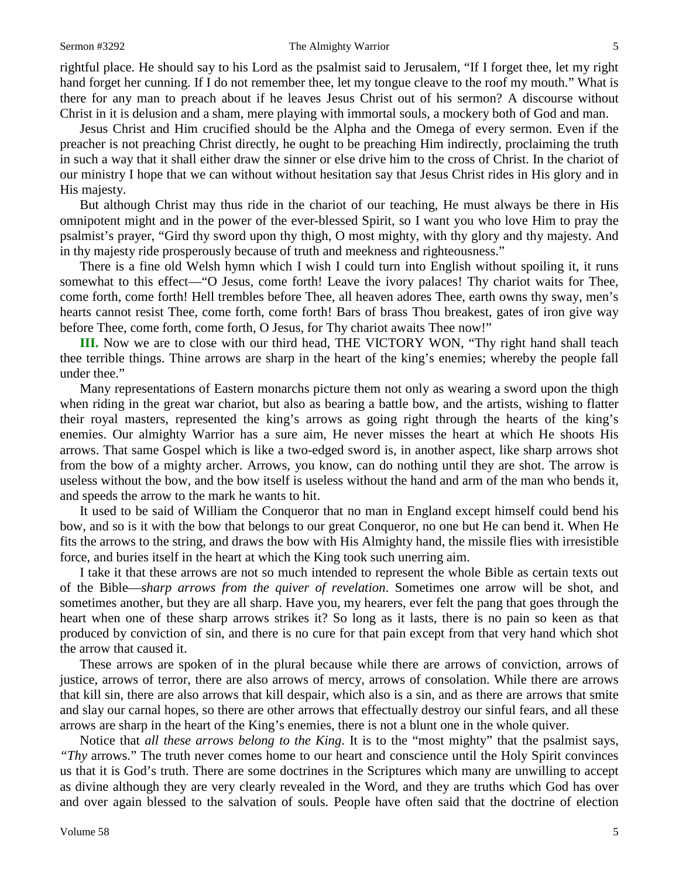#### Sermon #3292 The Almighty Warrior 5

rightful place. He should say to his Lord as the psalmist said to Jerusalem, "If I forget thee, let my right hand forget her cunning. If I do not remember thee, let my tongue cleave to the roof my mouth." What is there for any man to preach about if he leaves Jesus Christ out of his sermon? A discourse without Christ in it is delusion and a sham, mere playing with immortal souls, a mockery both of God and man.

Jesus Christ and Him crucified should be the Alpha and the Omega of every sermon. Even if the preacher is not preaching Christ directly, he ought to be preaching Him indirectly, proclaiming the truth in such a way that it shall either draw the sinner or else drive him to the cross of Christ. In the chariot of our ministry I hope that we can without without hesitation say that Jesus Christ rides in His glory and in His majesty.

But although Christ may thus ride in the chariot of our teaching, He must always be there in His omnipotent might and in the power of the ever-blessed Spirit, so I want you who love Him to pray the psalmist's prayer, "Gird thy sword upon thy thigh, O most mighty, with thy glory and thy majesty. And in thy majesty ride prosperously because of truth and meekness and righteousness."

There is a fine old Welsh hymn which I wish I could turn into English without spoiling it, it runs somewhat to this effect—"O Jesus, come forth! Leave the ivory palaces! Thy chariot waits for Thee, come forth, come forth! Hell trembles before Thee, all heaven adores Thee, earth owns thy sway, men's hearts cannot resist Thee, come forth, come forth! Bars of brass Thou breakest, gates of iron give way before Thee, come forth, come forth, O Jesus, for Thy chariot awaits Thee now!"

**III.** Now we are to close with our third head, THE VICTORY WON, "Thy right hand shall teach thee terrible things. Thine arrows are sharp in the heart of the king's enemies; whereby the people fall under thee."

Many representations of Eastern monarchs picture them not only as wearing a sword upon the thigh when riding in the great war chariot, but also as bearing a battle bow, and the artists, wishing to flatter their royal masters, represented the king's arrows as going right through the hearts of the king's enemies. Our almighty Warrior has a sure aim, He never misses the heart at which He shoots His arrows. That same Gospel which is like a two-edged sword is, in another aspect, like sharp arrows shot from the bow of a mighty archer. Arrows, you know, can do nothing until they are shot. The arrow is useless without the bow, and the bow itself is useless without the hand and arm of the man who bends it, and speeds the arrow to the mark he wants to hit.

It used to be said of William the Conqueror that no man in England except himself could bend his bow, and so is it with the bow that belongs to our great Conqueror, no one but He can bend it. When He fits the arrows to the string, and draws the bow with His Almighty hand, the missile flies with irresistible force, and buries itself in the heart at which the King took such unerring aim.

I take it that these arrows are not so much intended to represent the whole Bible as certain texts out of the Bible—*sharp arrows from the quiver of revelation*. Sometimes one arrow will be shot, and sometimes another, but they are all sharp. Have you, my hearers, ever felt the pang that goes through the heart when one of these sharp arrows strikes it? So long as it lasts, there is no pain so keen as that produced by conviction of sin, and there is no cure for that pain except from that very hand which shot the arrow that caused it.

These arrows are spoken of in the plural because while there are arrows of conviction, arrows of justice, arrows of terror, there are also arrows of mercy, arrows of consolation. While there are arrows that kill sin, there are also arrows that kill despair, which also is a sin, and as there are arrows that smite and slay our carnal hopes, so there are other arrows that effectually destroy our sinful fears, and all these arrows are sharp in the heart of the King's enemies, there is not a blunt one in the whole quiver.

Notice that *all these arrows belong to the King*. It is to the "most mighty" that the psalmist says, *"Thy* arrows." The truth never comes home to our heart and conscience until the Holy Spirit convinces us that it is God's truth. There are some doctrines in the Scriptures which many are unwilling to accept as divine although they are very clearly revealed in the Word, and they are truths which God has over and over again blessed to the salvation of souls. People have often said that the doctrine of election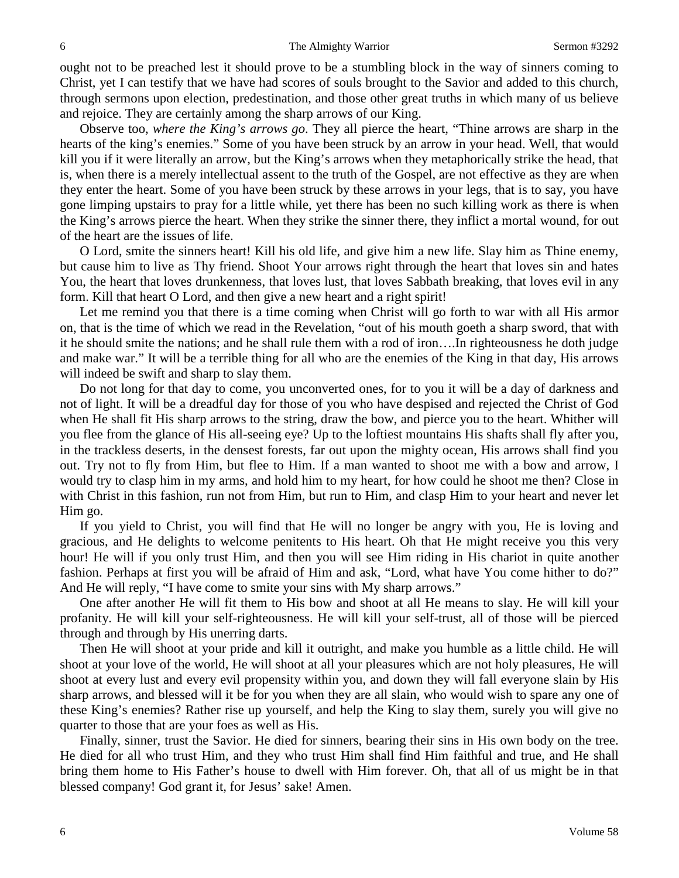ought not to be preached lest it should prove to be a stumbling block in the way of sinners coming to Christ, yet I can testify that we have had scores of souls brought to the Savior and added to this church, through sermons upon election, predestination, and those other great truths in which many of us believe and rejoice. They are certainly among the sharp arrows of our King.

Observe too, *where the King's arrows go*. They all pierce the heart, "Thine arrows are sharp in the hearts of the king's enemies." Some of you have been struck by an arrow in your head. Well, that would kill you if it were literally an arrow, but the King's arrows when they metaphorically strike the head, that is, when there is a merely intellectual assent to the truth of the Gospel, are not effective as they are when they enter the heart. Some of you have been struck by these arrows in your legs, that is to say, you have gone limping upstairs to pray for a little while, yet there has been no such killing work as there is when the King's arrows pierce the heart. When they strike the sinner there, they inflict a mortal wound, for out of the heart are the issues of life.

O Lord, smite the sinners heart! Kill his old life, and give him a new life. Slay him as Thine enemy, but cause him to live as Thy friend. Shoot Your arrows right through the heart that loves sin and hates You, the heart that loves drunkenness, that loves lust, that loves Sabbath breaking, that loves evil in any form. Kill that heart O Lord, and then give a new heart and a right spirit!

Let me remind you that there is a time coming when Christ will go forth to war with all His armor on, that is the time of which we read in the Revelation, "out of his mouth goeth a sharp sword, that with it he should smite the nations; and he shall rule them with a rod of iron….In righteousness he doth judge and make war." It will be a terrible thing for all who are the enemies of the King in that day, His arrows will indeed be swift and sharp to slay them.

Do not long for that day to come, you unconverted ones, for to you it will be a day of darkness and not of light. It will be a dreadful day for those of you who have despised and rejected the Christ of God when He shall fit His sharp arrows to the string, draw the bow, and pierce you to the heart. Whither will you flee from the glance of His all-seeing eye? Up to the loftiest mountains His shafts shall fly after you, in the trackless deserts, in the densest forests, far out upon the mighty ocean, His arrows shall find you out. Try not to fly from Him, but flee to Him. If a man wanted to shoot me with a bow and arrow, I would try to clasp him in my arms, and hold him to my heart, for how could he shoot me then? Close in with Christ in this fashion, run not from Him, but run to Him, and clasp Him to your heart and never let Him go.

If you yield to Christ, you will find that He will no longer be angry with you, He is loving and gracious, and He delights to welcome penitents to His heart. Oh that He might receive you this very hour! He will if you only trust Him, and then you will see Him riding in His chariot in quite another fashion. Perhaps at first you will be afraid of Him and ask, "Lord, what have You come hither to do?" And He will reply, "I have come to smite your sins with My sharp arrows."

One after another He will fit them to His bow and shoot at all He means to slay. He will kill your profanity. He will kill your self-righteousness. He will kill your self-trust, all of those will be pierced through and through by His unerring darts.

Then He will shoot at your pride and kill it outright, and make you humble as a little child. He will shoot at your love of the world, He will shoot at all your pleasures which are not holy pleasures, He will shoot at every lust and every evil propensity within you, and down they will fall everyone slain by His sharp arrows, and blessed will it be for you when they are all slain, who would wish to spare any one of these King's enemies? Rather rise up yourself, and help the King to slay them, surely you will give no quarter to those that are your foes as well as His.

Finally, sinner, trust the Savior. He died for sinners, bearing their sins in His own body on the tree. He died for all who trust Him, and they who trust Him shall find Him faithful and true, and He shall bring them home to His Father's house to dwell with Him forever. Oh, that all of us might be in that blessed company! God grant it, for Jesus' sake! Amen.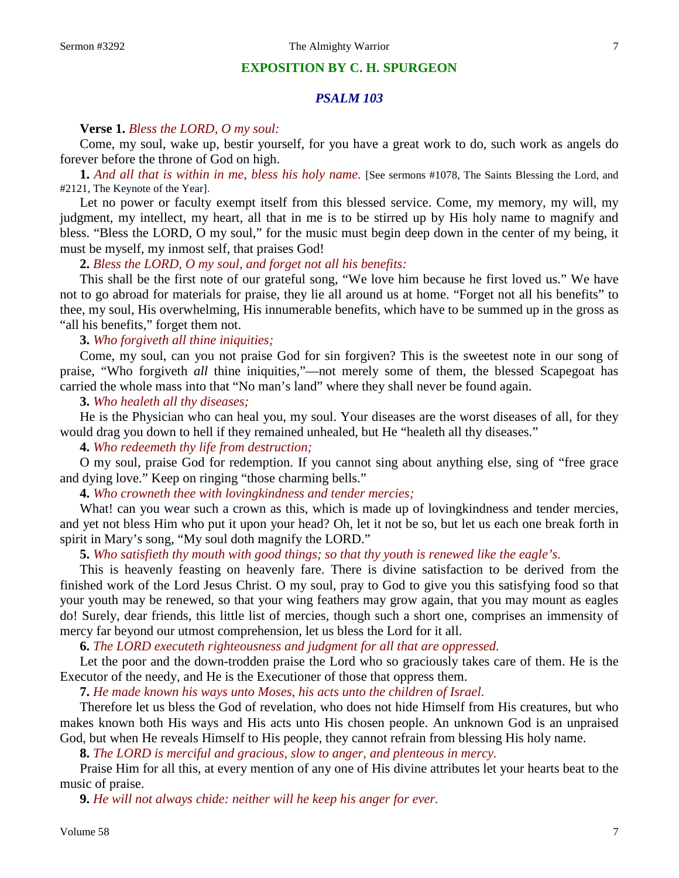# **EXPOSITION BY C. H. SPURGEON**

# *PSALM 103*

## **Verse 1.** *Bless the LORD, O my soul:*

Come, my soul, wake up, bestir yourself, for you have a great work to do, such work as angels do forever before the throne of God on high.

**1.** *And all that is within in me, bless his holy name.* [See sermons #1078, The Saints Blessing the Lord, and #2121, The Keynote of the Year].

Let no power or faculty exempt itself from this blessed service. Come, my memory, my will, my judgment, my intellect, my heart, all that in me is to be stirred up by His holy name to magnify and bless. "Bless the LORD, O my soul," for the music must begin deep down in the center of my being, it must be myself, my inmost self, that praises God!

# **2.** *Bless the LORD, O my soul, and forget not all his benefits:*

This shall be the first note of our grateful song, "We love him because he first loved us." We have not to go abroad for materials for praise, they lie all around us at home. "Forget not all his benefits" to thee, my soul, His overwhelming, His innumerable benefits, which have to be summed up in the gross as "all his benefits," forget them not.

#### **3.** *Who forgiveth all thine iniquities;*

Come, my soul, can you not praise God for sin forgiven? This is the sweetest note in our song of praise, "Who forgiveth *all* thine iniquities,"—not merely some of them, the blessed Scapegoat has carried the whole mass into that "No man's land" where they shall never be found again.

**3.** *Who healeth all thy diseases;*

He is the Physician who can heal you, my soul. Your diseases are the worst diseases of all, for they would drag you down to hell if they remained unhealed, but He "healeth all thy diseases."

**4.** *Who redeemeth thy life from destruction;*

O my soul, praise God for redemption. If you cannot sing about anything else, sing of "free grace and dying love." Keep on ringing "those charming bells."

**4.** *Who crowneth thee with lovingkindness and tender mercies;*

What! can you wear such a crown as this, which is made up of loving kindness and tender mercies, and yet not bless Him who put it upon your head? Oh, let it not be so, but let us each one break forth in spirit in Mary's song, "My soul doth magnify the LORD."

**5.** *Who satisfieth thy mouth with good things; so that thy youth is renewed like the eagle's.*

This is heavenly feasting on heavenly fare. There is divine satisfaction to be derived from the finished work of the Lord Jesus Christ. O my soul, pray to God to give you this satisfying food so that your youth may be renewed, so that your wing feathers may grow again, that you may mount as eagles do! Surely, dear friends, this little list of mercies, though such a short one, comprises an immensity of mercy far beyond our utmost comprehension, let us bless the Lord for it all.

**6.** *The LORD executeth righteousness and judgment for all that are oppressed.*

Let the poor and the down-trodden praise the Lord who so graciously takes care of them. He is the Executor of the needy, and He is the Executioner of those that oppress them.

**7.** *He made known his ways unto Moses, his acts unto the children of Israel.*

Therefore let us bless the God of revelation, who does not hide Himself from His creatures, but who makes known both His ways and His acts unto His chosen people. An unknown God is an unpraised God, but when He reveals Himself to His people, they cannot refrain from blessing His holy name.

**8.** *The LORD is merciful and gracious, slow to anger, and plenteous in mercy.*

Praise Him for all this, at every mention of any one of His divine attributes let your hearts beat to the music of praise.

**9.** *He will not always chide: neither will he keep his anger for ever.*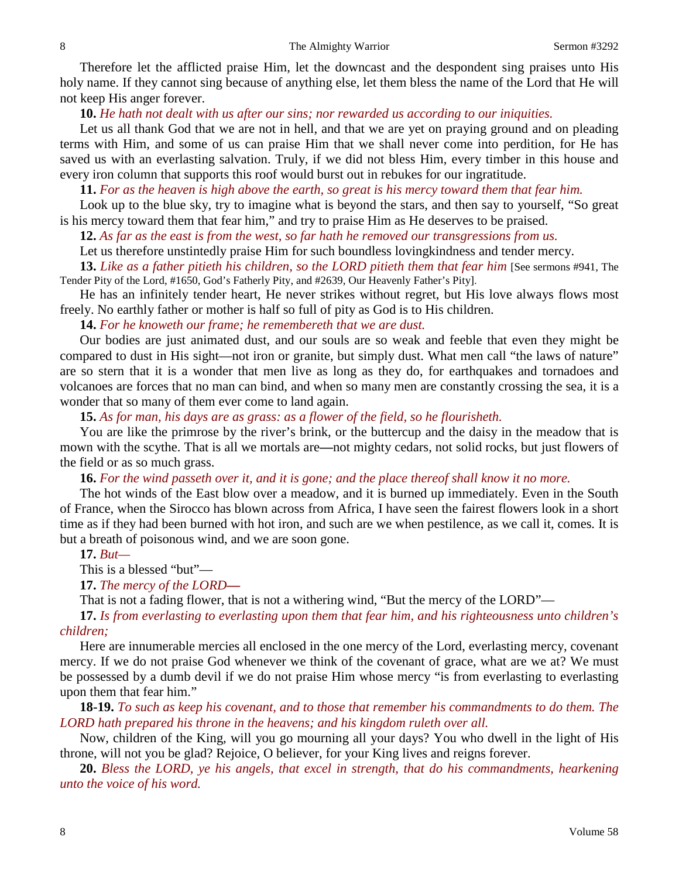Therefore let the afflicted praise Him, let the downcast and the despondent sing praises unto His holy name. If they cannot sing because of anything else, let them bless the name of the Lord that He will not keep His anger forever.

# **10.** *He hath not dealt with us after our sins; nor rewarded us according to our iniquities.*

Let us all thank God that we are not in hell, and that we are yet on praying ground and on pleading terms with Him, and some of us can praise Him that we shall never come into perdition, for He has saved us with an everlasting salvation. Truly, if we did not bless Him, every timber in this house and every iron column that supports this roof would burst out in rebukes for our ingratitude.

## **11.** *For as the heaven is high above the earth, so great is his mercy toward them that fear him.*

Look up to the blue sky, try to imagine what is beyond the stars, and then say to yourself, "So great is his mercy toward them that fear him," and try to praise Him as He deserves to be praised.

**12.** *As far as the east is from the west, so far hath he removed our transgressions from us.*

Let us therefore unstintedly praise Him for such boundless lovingkindness and tender mercy.

**13.** *Like as a father pitieth his children, so the LORD pitieth them that fear him* [See sermons #941, The Tender Pity of the Lord, #1650, God's Fatherly Pity, and #2639, Our Heavenly Father's Pity].

He has an infinitely tender heart, He never strikes without regret, but His love always flows most freely. No earthly father or mother is half so full of pity as God is to His children.

**14.** *For he knoweth our frame; he remembereth that we are dust.*

Our bodies are just animated dust, and our souls are so weak and feeble that even they might be compared to dust in His sight—not iron or granite, but simply dust. What men call "the laws of nature" are so stern that it is a wonder that men live as long as they do, for earthquakes and tornadoes and volcanoes are forces that no man can bind, and when so many men are constantly crossing the sea, it is a wonder that so many of them ever come to land again.

**15.** *As for man, his days are as grass: as a flower of the field, so he flourisheth.*

You are like the primrose by the river's brink, or the buttercup and the daisy in the meadow that is mown with the scythe. That is all we mortals are**—**not mighty cedars, not solid rocks, but just flowers of the field or as so much grass.

**16.** *For the wind passeth over it, and it is gone; and the place thereof shall know it no more.*

The hot winds of the East blow over a meadow, and it is burned up immediately. Even in the South of France, when the Sirocco has blown across from Africa, I have seen the fairest flowers look in a short time as if they had been burned with hot iron, and such are we when pestilence, as we call it, comes. It is but a breath of poisonous wind, and we are soon gone.

# **17.** *But—*

This is a blessed "but"—

**17.** *The mercy of the LORD—*

That is not a fading flower, that is not a withering wind, "But the mercy of the LORD"—

**17.** *Is from everlasting to everlasting upon them that fear him, and his righteousness unto children's children;*

Here are innumerable mercies all enclosed in the one mercy of the Lord, everlasting mercy, covenant mercy. If we do not praise God whenever we think of the covenant of grace, what are we at? We must be possessed by a dumb devil if we do not praise Him whose mercy "is from everlasting to everlasting upon them that fear him."

**18-19.** *To such as keep his covenant, and to those that remember his commandments to do them. The LORD hath prepared his throne in the heavens; and his kingdom ruleth over all.*

Now, children of the King, will you go mourning all your days? You who dwell in the light of His throne, will not you be glad? Rejoice, O believer, for your King lives and reigns forever.

**20.** *Bless the LORD, ye his angels, that excel in strength, that do his commandments, hearkening unto the voice of his word.*